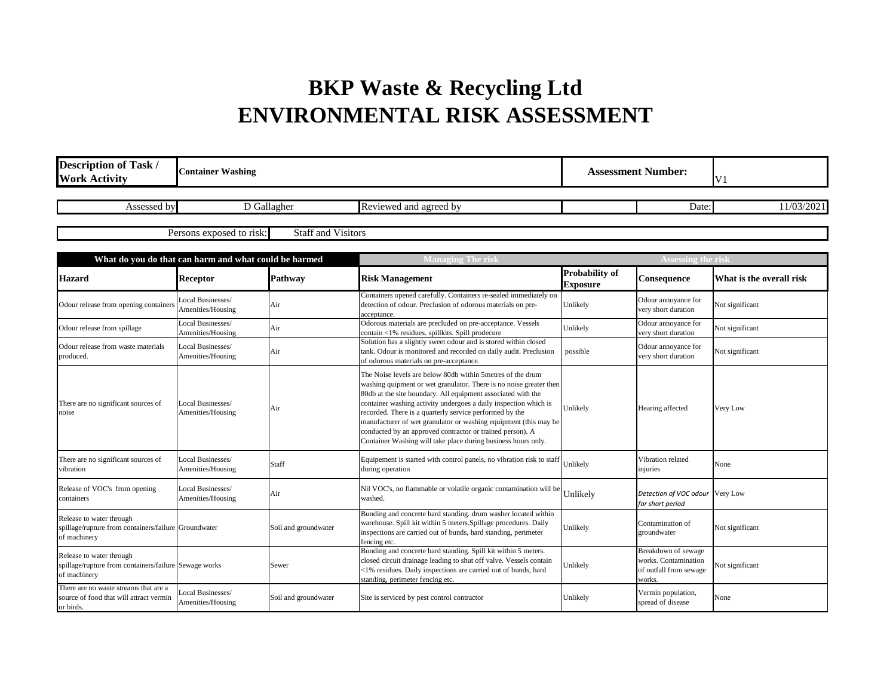## **BKP Waste & Recycling Ltd ENVIRONMENTAL RISK ASSESSMENT**

| <b>Description of Task /</b><br><b>Work Activity</b>                                              | <b>Container Washing</b>               |                           |                                                                                                                                                                                                                                                                                                                                                                                                                                                                                                                                    | <b>Assessment Number:</b>                |                                                                                 | V <sub>1</sub>           |
|---------------------------------------------------------------------------------------------------|----------------------------------------|---------------------------|------------------------------------------------------------------------------------------------------------------------------------------------------------------------------------------------------------------------------------------------------------------------------------------------------------------------------------------------------------------------------------------------------------------------------------------------------------------------------------------------------------------------------------|------------------------------------------|---------------------------------------------------------------------------------|--------------------------|
| Assessed by                                                                                       |                                        | D Gallagher               | Reviewed and agreed by                                                                                                                                                                                                                                                                                                                                                                                                                                                                                                             |                                          | Date:                                                                           | 11/03/2021               |
|                                                                                                   | Persons exposed to risk:               | <b>Staff and Visitors</b> |                                                                                                                                                                                                                                                                                                                                                                                                                                                                                                                                    |                                          |                                                                                 |                          |
| What do you do that can harm and what could be harmed                                             |                                        | <b>Managing The risk</b>  |                                                                                                                                                                                                                                                                                                                                                                                                                                                                                                                                    | <b>Assessing the risk</b>                |                                                                                 |                          |
| <b>Hazard</b>                                                                                     | <b>Receptor</b>                        | Pathway                   | <b>Risk Management</b>                                                                                                                                                                                                                                                                                                                                                                                                                                                                                                             | <b>Probability of</b><br><b>Exposure</b> | Consequence                                                                     | What is the overall risk |
| Odour release from opening containers                                                             | Local Businesses/<br>Amenities/Housing | Air                       | Containers opened carefully. Containers re-sealed immediately on<br>detection of odour. Preclusion of odorous materials on pre-<br>acceptance.                                                                                                                                                                                                                                                                                                                                                                                     | Unlikely                                 | Odour annoyance for<br>very short duration                                      | Not significant          |
| Odour release from spillage                                                                       | Local Businesses/<br>Amenities/Housing | Air                       | Odorous materials are precluded on pre-acceptance. Vessels<br>contain <1% residues. spillkits. Spill prodecure                                                                                                                                                                                                                                                                                                                                                                                                                     | Unlikely                                 | Odour annoyance for<br>very short duration                                      | Not significant          |
| Odour release from waste materials<br>produced.                                                   | Local Businesses/<br>Amenities/Housing | Air                       | Solution has a slightly sweet odour and is stored within closed<br>tank. Odour is monitored and recorded on daily audit. Preclusion<br>of odorous materials on pre-acceptance.                                                                                                                                                                                                                                                                                                                                                     | possible                                 | Odour annoyance for<br>very short duration                                      | Not significant          |
| There are no significant sources of<br>noise                                                      | Local Businesses/<br>Amenities/Housing | Air                       | The Noise levels are below 80db within 5 metres of the drum<br>washing quipment or wet granulator. There is no noise greater then<br>80db at the site boundary. All equipment associated with the<br>container washing activity undergoes a daily inspection which is<br>recorded. There is a quarterly service performed by the<br>manufacturer of wet granulator or washing equipment (this may be<br>conducted by an approved contractor or trained person). A<br>Container Washing will take place during business hours only. | Unlikely                                 | Hearing affected                                                                | Very Low                 |
| There are no significant sources of<br>vibration                                                  | Local Businesses/<br>Amenities/Housing | Staff                     | Equipement is started with control panels, no vibration risk to staff Unlikely<br>during operation                                                                                                                                                                                                                                                                                                                                                                                                                                 |                                          | Vibration related<br>injuries                                                   | None                     |
| Release of VOC's from opening<br>containers                                                       | Local Businesses/<br>Amenities/Housing | Air                       | Nil VOC's, no flammable or volatile organic contamination will be $\bigcup$ Unlikely<br>washed.                                                                                                                                                                                                                                                                                                                                                                                                                                    |                                          | Detection of VOC odour Very Low<br>for short period                             |                          |
| Release to water through<br>spillage/rupture from containers/failure Groundwater<br>of machinery  |                                        | Soil and groundwater      | Bunding and concrete hard standing. drum washer located within<br>warehouse. Spill kit within 5 meters. Spillage procedures. Daily<br>inspections are carried out of bunds, hard standing, perimeter<br>fencing etc.                                                                                                                                                                                                                                                                                                               | Unlikely                                 | Contamination of<br>groundwater                                                 | Not significant          |
| Release to water through<br>spillage/rupture from containers/failure Sewage works<br>of machinery |                                        | Sewer                     | Bunding and concrete hard standing. Spill kit within 5 meters.<br>closed circuit drainage leading to shut off valve. Vessels contain<br><1% residues. Daily inspections are carried out of bunds, hard<br>standing, perimeter fencing etc.                                                                                                                                                                                                                                                                                         | Unlikely                                 | Breakdown of sewage<br>works. Contamination<br>of outfall from sewage<br>vorks. | Not significant          |
| There are no waste streams that are a<br>source of food that will attract vermin<br>or birds.     | Local Businesses/<br>Amenities/Housing | Soil and groundwater      | Site is serviced by pest control contractor                                                                                                                                                                                                                                                                                                                                                                                                                                                                                        | Unlikely                                 | Vermin population,<br>spread of disease                                         | None                     |